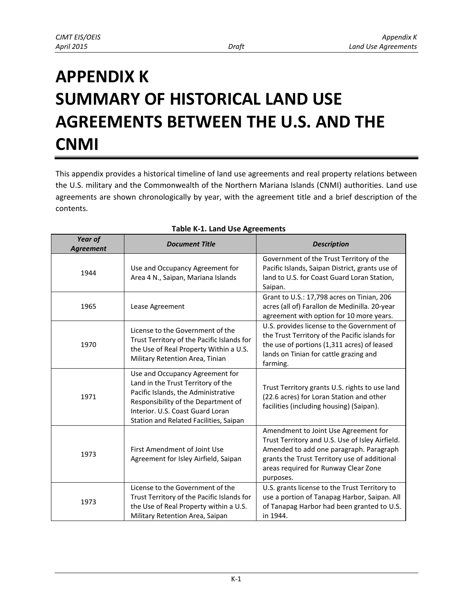## **APPENDIX K SUMMARY OF HISTORICAL LAND USE AGREEMENTS BETWEEN THE U.S. AND THE CNMI**

This appendix provides a historical timeline of land use agreements and real property relations between the U.S. military and the Commonwealth of the Northern Mariana Islands (CNMI) authorities. Land use agreements are shown chronologically by year, with the agreement title and a brief description of the contents.

| Year of<br><b>Agreement</b> | <b>Document Title</b>                                                                                                                                                                                                             | <b>Description</b>                                                                                                                                                                                                                      |
|-----------------------------|-----------------------------------------------------------------------------------------------------------------------------------------------------------------------------------------------------------------------------------|-----------------------------------------------------------------------------------------------------------------------------------------------------------------------------------------------------------------------------------------|
| 1944                        | Use and Occupancy Agreement for<br>Area 4 N., Saipan, Mariana Islands                                                                                                                                                             | Government of the Trust Territory of the<br>Pacific Islands, Saipan District, grants use of<br>land to U.S. for Coast Guard Loran Station,<br>Saipan.                                                                                   |
| 1965                        | Lease Agreement                                                                                                                                                                                                                   | Grant to U.S.: 17,798 acres on Tinian, 206<br>acres (all of) Farallon de Medinilla. 20-year<br>agreement with option for 10 more years.                                                                                                 |
| 1970                        | License to the Government of the<br>Trust Territory of the Pacific Islands for<br>the Use of Real Property Within a U.S.<br>Military Retention Area, Tinian                                                                       | U.S. provides license to the Government of<br>the Trust Territory of the Pacific islands for<br>the use of portions (1,311 acres) of leased<br>lands on Tinian for cattle grazing and<br>farming.                                       |
| 1971                        | Use and Occupancy Agreement for<br>Land in the Trust Territory of the<br>Pacific Islands, the Administrative<br>Responsibility of the Department of<br>Interior, U.S. Coast Guard Loran<br>Station and Related Facilities, Saipan | Trust Territory grants U.S. rights to use land<br>(22.6 acres) for Loran Station and other<br>facilities (including housing) (Saipan).                                                                                                  |
| 1973                        | First Amendment of Joint Use<br>Agreement for Isley Airfield, Saipan                                                                                                                                                              | Amendment to Joint Use Agreement for<br>Trust Territory and U.S. Use of Isley Airfield.<br>Amended to add one paragraph. Paragraph<br>grants the Trust Territory use of additional<br>areas required for Runway Clear Zone<br>purposes. |
| 1973                        | License to the Government of the<br>Trust Territory of the Pacific Islands for<br>the Use of Real Property within a U.S.<br>Military Retention Area, Saipan                                                                       | U.S. grants license to the Trust Territory to<br>use a portion of Tanapag Harbor, Saipan. All<br>of Tanapag Harbor had been granted to U.S.<br>in 1944.                                                                                 |

## **Table K-1. Land Use Agreements**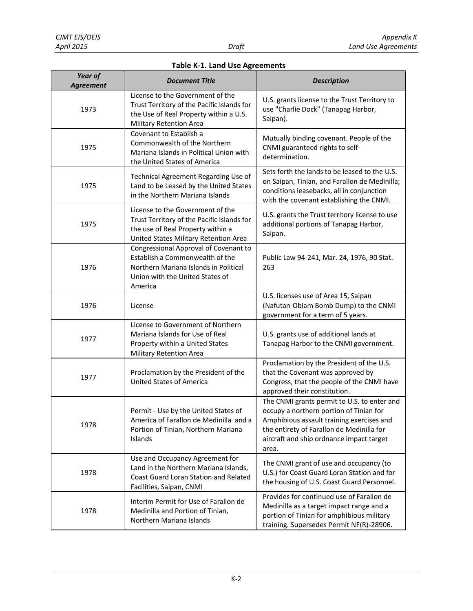|  |  |  |  | <b>Table K-1. Land Use Agreements</b> |
|--|--|--|--|---------------------------------------|
|--|--|--|--|---------------------------------------|

| Year of<br><b>Agreement</b> | <b>Document Title</b>                                                                                                                                           | <b>Description</b>                                                                                                                                                                                                                    |
|-----------------------------|-----------------------------------------------------------------------------------------------------------------------------------------------------------------|---------------------------------------------------------------------------------------------------------------------------------------------------------------------------------------------------------------------------------------|
| 1973                        | License to the Government of the<br>Trust Territory of the Pacific Islands for<br>the Use of Real Property within a U.S.<br>Military Retention Area             | U.S. grants license to the Trust Territory to<br>use "Charlie Dock" (Tanapag Harbor,<br>Saipan).                                                                                                                                      |
| 1975                        | Covenant to Establish a<br>Commonwealth of the Northern<br>Mariana Islands in Political Union with<br>the United States of America                              | Mutually binding covenant. People of the<br>CNMI guaranteed rights to self-<br>determination.                                                                                                                                         |
| 1975                        | Technical Agreement Regarding Use of<br>Land to be Leased by the United States<br>in the Northern Mariana Islands                                               | Sets forth the lands to be leased to the U.S.<br>on Saipan, Tinian, and Farallon de Medinilla;<br>conditions leasebacks, all in conjunction<br>with the covenant establishing the CNMI.                                               |
| 1975                        | License to the Government of the<br>Trust Territory of the Pacific Islands for<br>the use of Real Property within a<br>United States Military Retention Area    | U.S. grants the Trust territory license to use<br>additional portions of Tanapag Harbor,<br>Saipan.                                                                                                                                   |
| 1976                        | Congressional Approval of Covenant to<br>Establish a Commonwealth of the<br>Northern Mariana Islands in Political<br>Union with the United States of<br>America | Public Law 94-241, Mar. 24, 1976, 90 Stat.<br>263                                                                                                                                                                                     |
| 1976                        | License                                                                                                                                                         | U.S. licenses use of Area 15, Saipan<br>(Nafutan-Obiam Bomb Dump) to the CNMI<br>government for a term of 5 years.                                                                                                                    |
| 1977                        | License to Government of Northern<br>Mariana Islands for Use of Real<br>Property within a United States<br>Military Retention Area                              | U.S. grants use of additional lands at<br>Tanapag Harbor to the CNMI government.                                                                                                                                                      |
| 1977                        | Proclamation by the President of the<br><b>United States of America</b>                                                                                         | Proclamation by the President of the U.S.<br>that the Covenant was approved by<br>Congress, that the people of the CNMI have<br>approved their constitution.                                                                          |
| 1978                        | Permit - Use by the United States of<br>America of Farallon de Medinilla and a<br>Portion of Tinian, Northern Mariana<br>Islands                                | The CNMI grants permit to U.S. to enter and<br>occupy a northern portion of Tinian for<br>Amphibious assault training exercises and<br>the entirety of Farallon de Medinilla for<br>aircraft and ship ordnance impact target<br>area. |
| 1978                        | Use and Occupancy Agreement for<br>Land in the Northern Mariana Islands,<br>Coast Guard Loran Station and Related<br>Facilities, Saipan, CNMI                   | The CNMI grant of use and occupancy (to<br>U.S.) for Coast Guard Loran Station and for<br>the housing of U.S. Coast Guard Personnel.                                                                                                  |
| 1978                        | Interim Permit for Use of Farallon de<br>Medinilla and Portion of Tinian,<br>Northern Mariana Islands                                                           | Provides for continued use of Farallon de<br>Medinilla as a target impact range and a<br>portion of Tinian for amphibious military<br>training. Supersedes Permit NF(R)-28906.                                                        |